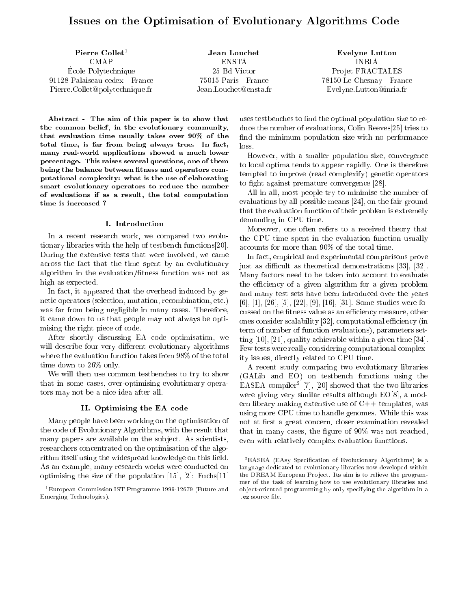# Issues on the Optimisation of Evolutionary Algorithms Code

Pierre Collet<sup>1</sup> CMAP E
ole Polyte
hnique 91128 Palaiseau edex - Fran
e Pierre. Collet @polytechnique.fr

ENSTA 25 Bd Vi
tor 75015 Paris - Fran
e Jean.Louchet@ensta.fr

Evelyne Lutton INRIA Projet FRACTALES 78150 Le Chesnay - Fran
e Evelyne.Lutton@inria.fr

Abstract - The aim of this paper is to show that the ommon belief, in the evolutionary ommunity, that evaluation time usually takes over 90% of the total time, is far from being always true. In fact, many real-world applications showed a much lower per
entage. This raises several questions, one of them being the balance between fitness and operators computational omplexity: what is the use of elaborating smart evolutionary operators to redu
e the number of evaluations if as a result, the total omputation time is in
reased ?

#### I. Introduction

In a recent research work, we compared two evolutionary libraries with the help of testbench functions [20]. During the extensive tests that were involved, we ame across the fact that the time spent by an evolutionary algorithm in the evaluation/fitness function was not as high as expected.

In fact, it appeared that the overhead induced by genetic operators (selection, mutation, recombination, etc.) was far from being negligible in many cases. Therefore, it ame down to us that people may not always be optimising the right pie
e of ode.

After shortly dis
ussing EA ode optimisation, we will describe four very different evolutionary algorithms where the evaluation function takes from 98% of the total time down to 26% only.

We will then use ommon testben
hes to try to show that in some ases, over-optimising evolutionary operators may not be a ni
e idea after all.

#### II. Optimising the EA ode

Many people have been working on the optimisation of the ode of Evolutionary Algorithms, with the result that many papers are available on the subject. As scientists, resear
hers on
entrated on the optimisation of the algorithm itself using the widespread knowledge on this field. As an example, many resear
h works were ondu
ted on optimising the size of the population  $[15]$ ,  $[2]$ : Fuchs $[11]$ 

uses testbenches to find the optimal population size to reduce the number of evaluations, Colin Reeves<sup>[25]</sup> tries to find the minimum population size with no performance loss.

However, with a smaller population size, convergence to lo
al optima tends to appear rapidly. One is therefore tempted to improve (read omplexify) geneti operators to fight against premature convergence [28].

All in all, most people try to minimise the number of evaluations by all possible means  $[24]$ , on the fair ground that the evaluation fun
tion of their problem is extremely demanding in CPU time.

Moreover, one often refers to a re
eived theory that the CPU time spent in the evaluation function usually accounts for more than 90% of the total time.

In fact, empirical and experimental comparisons prove just as difficult as theoretical demonstrations [33], [32]. Many factors need to be taken into account to evaluate the efficiency of a given algorithm for a given problem and many test sets have been introdu
ed over the years  $[6], [1], [26], [5], [22], [9], [16], [31].$  Some studies were focussed on the fitness value as an efficiency measure, other ones consider scalability [32], computational efficiency (in term of number of function evaluations), parameters setting  $[10]$ ,  $[21]$ , quality achievable within a given time  $[34]$ . Few tests were really onsidering omputational omplexity issues, directly related to CPU time.

A re
ent study omparing two evolutionary libraries (GALib and EO) on testben
h fun
tions using the EASEA COMPHET |7|, 20| showed that the two horaries were giving very similar results although  $EO[8]$ , a modern library making extensive use of  $C++$  templates, was using more CPU time to handle genomes. While this was not at first a great concern, closer examination revealed that in many cases, the figure of 90% was not reached, even with relatively complex evaluation functions.

-EASEA (EASY Specification of Evolutionary Algorithms) is a language dedicated to evolutionary libraries now developed within the DREAM European Project. Its aim is to relieve the programmer of the task of learning how to use evolutionary libraries and ob je
t-oriented programming by only spe
ifying the algorithm in a ez source file.

<sup>1</sup>European Commission IST Programme 1999-12679 (Future and Emerging Te
hnologies).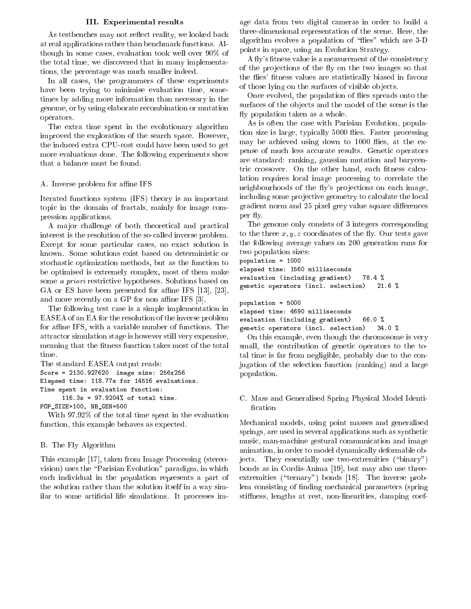### III. Experimental results

As testbenches may not reflect reality, we looked back at real appli
ations rather than ben
hmark fun
tions. Although in some ases, evaluation took well over 90% of the total time, we dis
overed that in many implementations, the per
entage was mu
h smaller indeed.

In all cases, the programmers of these experiments have been trying to minimise evaluation time, sometimes by adding more information than ne
essary in the genome, or by using elaborate re
ombination or mutation operators.

The extra time spent in the evolutionary algorithm improved the exploration of the sear
h spa
e. However, the indu
ed extra CPUost ould have been used to get more evaluations done. The following experiments show that a balan
e must be found.

### A. Inverse problem for affine IFS

Iterated fun
tions system (IFS) theory is an important topic in the domain of fractals, mainly for image compression appli
ations.

A major challenge of both theoretical and practical interest is the resolution of the soalled inverse problem. Except for some particular cases, no exact solution is known. Some solutions exist based on deterministic or stochastic optimization methods, but as the function to be optimised is extremely omplex, most of them make some <sup>a</sup> priori restri
tive hypotheses. Solutions based on GA or ES have been presented for affine IFS  $[13]$ ,  $[23]$ , and more recently on a GP for non affine IFS  $[3]$ .

The following test case is a simple implementation in EASEA of an EA for the resolution of the inverse problem for affine IFS, with a variable number of functions. The attra
tor simulation stage is however still very expensive, meaning that the fitness function takes most of the total time.

The standard EASEA output reads: S
ore <sup>=</sup> 2130.927620 image size: 256x256 Elapsed time: 118.77s for <sup>14516</sup> evaluations. Time specification functions are all the specifications of the specification functions of the specification functions of the specifications of the specifications of the specifications of the specifications of the specifica 116.3s <sup>=</sup> 97.9204% of total time.

With 97.92% of the total time spent in the evaluation function, this example behaves as expected.

# B. The Fly Algorithm

POP\_SIZE=100, NB\_GEN=500

This example [17], taken from Image Processing (stereovision) uses the "Parisian Evolution" paradigm, in which ea
h individual in the population represents a part of the solution rather than the solution itself in a way similar to some artificial life simulations. It processes image data from two digital ameras in order to build a three-dimensional representation of the s
ene. Here, the algorithm evolves a population of "flies" which are 3-D points in spa
e, using an Evolution Strategy.

A fly's fitness value is a measurement of the consistency of the projections of the fly on the two images so that the flies' fitness values are statistically biased in favour of those lying on the surfaces of visible objects.

Once evolved, the population of flies spreads onto the surfaces of the objects and the model of the scene is the y population taken as a whole.

As is often the case with Parisian Evolution, population size is large, typically 5000 flies. Faster processing may be achieved using down to 1000 flies, at the expense of much less accurate results. Genetic operators are standard: ranking, gaussian mutation and bary
entric crossover. On the other hand, each fitness calculation requires lo
al image pro
essing to orrelate the neighbourhoods of the fly's projections on each image, including some projective geometry to calculate the local gradient norm and 25 pixel grey value square differences per fly.

The genome only onsists of 3 integers orresponding to the three  $x, y, z$  coordinates of the fly. Our tests gave the following average values on 200 generation runs for two population sizes:

population <sup>=</sup> <sup>1000</sup> elapsed time: <sup>1560</sup> millise
onds evaluation (in
luding gradient) 78.4 % geneti operators (in
l. sele
tion) 21.6 %

population <sup>=</sup> <sup>5000</sup>

elapsed time: <sup>4690</sup> millise
onds

evaluation (in
luding gradient) 66.0 % geneti operators (in
l. sele
tion) 34.0 %

On this example, even though the hromosome is very small, the contribution of genetic operators to the total time is far from negligible, probably due to the onjugation of the sele
tion fun
tion (ranking) and a large population.

C. Mass and Generalised Spring Physi
al Model Identi fication

Me
hani
al models, using point masses and generalised springs, are used in several applications such as synthetic musi
, man-ma
hine gestural ommuni
ation and image animation, in order to model dynami
ally deformable objects. They essentially use two-extremities ("binary") bonds as in Cordis-Anima [19], but may also use threeextremities ("ternary") bonds [18]. The inverse problem consisting of finding mechanical parameters (spring) stiffness, lengths at rest, non-linearities, damping coef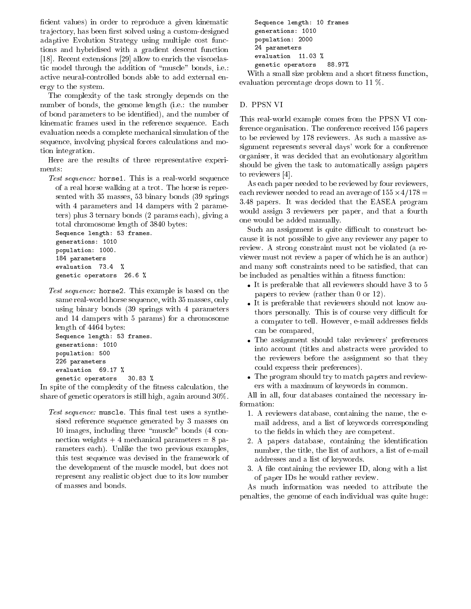ficient values) in order to reproduce a given kinematic trajectory, has been first solved using a custom-designed adaptive Evolution Strategy using multiple cost functions and hybridised with a gradient descent function [18]. Recent extensions [29] allow to enrich the viscoelastic model through the addition of "muscle" bonds, i.e.: a
tive neuralontrolled bonds able to add external energy to the system.

The omplexity of the task strongly depends on the number of bonds, the genome length (i.e.: the number of bond parameters to be identied), and the number of kinematic frames used in the reference sequence. Each evaluation needs a omplete me
hani
al simulation of the sequence, involving physical forces calculations and motion integration.

Here are the results of three representative experiments:

e: horselection and the sequence of the sequence of the sequence of the sequence of the sequence of the sequence of the sequence of the sequence of the sequence of the sequence of the sequence of the sequence of the sequen of a real horse walking at a trot. The horse is represented with 35 masses, 53 binary bonds (39 springs with 4 parameters and 14 dampers with 2 parameters) plus 3 ternary bonds (2 params ea
h), giving a total hromosome length of 3840 bytes:

```
Sequen
e length: 53 frames.
generations: 1010
population: 1000.
184 parameters
evaluation 73.4 %
geneti
 operators 26.6 %
```
Test sequen
e: horse2. This example is based on the same real-world horse sequence, with 35 masses, only using binary bonds (39 springs with 4 parameters and 14 dampers with 5 params) for a hromosome length of 4464 bytes:

```
Sequen
e length: 53 frames.
generations: 1010
population: 500
226 parameters
evaluation 69.17 %
geneti
 operators 30.83 %
```
In spite of the complexity of the fitness calculation, the share of geneti operators is still high, again around 30%.

Test sequen
e: mus
le. This nal test uses a synthesised referen
e sequen
e generated by 3 masses on 10 images, including three "muscle" bonds (4 connection weights  $+4$  mechanical parameters  $= 8$  parameters ea
h). Unlike the two previous examples, this test sequen
e was devised in the framework of the development of the mus
le model, but does not represent any realistic object due to its low number of masses and bonds.

```
Sequen
e length: 10 frames
generations: 1010
population: 2000
24 parameters
evaluation 11.03 %
geneti
 operators 88.97%
```
With a small size problem and a short fitness function, evaluation per
entage drops down to 11 %.

# D. PPSN VI

This real-world example comes from the PPSN VI conference organisation. The conference received 156 papers to be reviewed by 178 reviewers. As su
h a massive assignment represents several days' work for a conference organiser, it was de
ided that an evolutionary algorithm should be given the task to automati
ally assign papers to reviewers [4].

As ea
h paper needed to be reviewed by four reviewers, ea
h reviewer needed to read an average of 155-4=178 = 3:48 papers. It was de
ided that the EASEA program would assign 3 reviewers per paper, and that a fourth one would be added manually.

Such an assignment is quite difficult to construct beause it is not possible to give any reviewer any paper to review. A strong onstraint must not be violated (a reviewer must not review a paper of which he is an author) and many soft constraints need to be satisfied, that can be included as penalties within a fitness function:

- It is preferable that all reviewers should have 3 to 5 papers to review (rather than 0 or 12).
- It is preferable that reviewers should not know authors personally. This is of course very difficult for a computer to tell. However, e-mail addresses fields an be ompared,
- The assignment should take reviewers' preferen
es into account (titles and abstracts were provided to the reviewers before the assignment so that they ould express their preferen
es).
- The program should try to mat
h papers and reviewers with a maximum of keywords in ommon.

All in all, four databases contained the necessary information:

- 1. A reviewers database, ontaining the name, the email address, and a list of keywords orresponding to the fields in which they are competent.
- 2. A papers database, containing the identification number, the title, the list of authors, a list of e-mail addresses and a list of keywords.
- 3. A file containing the reviewer ID, along with a list of paper IDs he would rather review.

As mu
h information was needed to attribute the penalties, the genome of ea
h individual was quite huge: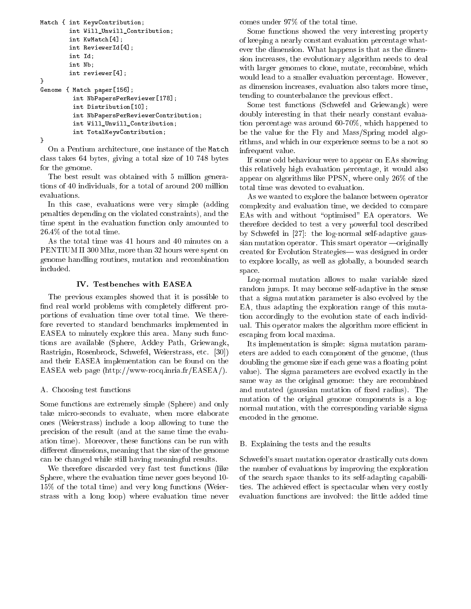```
Mat
h { int KeywContribution;
                  int Will_Unwill_Contribution;
                  interaction in the contract of the contract of the contract of the contract of the contract of the contract of
                  interviewerIdeau
                  int Id;
                  <u>. . . . . .</u>
                  interviewer in 1996, 1996
}e and paper in the contract of the contract of the contract of the contract of the contract of the contract of
                     int in the Maps Person of the Maps Person of the United States and the United States of the United States and
                     interior distribution and provided and a set of the contract of the contract of the contract of the contract of
                     int NbPapersPerReviewerContribution;
                     int Will_Unwill_Contribution;
                     interaction \mathbf{I}
```
}

On a Pentium architecture, one instance of the Match class takes 64 bytes, giving a total size of 10 748 bytes for the genome.

The best result was obtained with 5 million generations of 40 individuals, for a total of around 200 million evaluations.

In this case, evaluations were very simple (adding penalties depending on the violated onstraints), and the time spent in the evaluation function only amounted to 26.4% of the total time.

As the total time was 41 hours and 40 minutes on a PENTIUM II 300 Mhz, more than 32 hours were spent on genome handling routines, mutation and re
ombination in
luded.

## IV. Testben
hes with EASEA

The previous examples showed that it is possible to find real world problems with completely different proportions of evaluation time over total time. We therefore reverted to standard ben
hmarks implemented in EASEA to minutely explore this area. Many such functions are available (Sphere, Ackley Path, Griewangk, Rastrigin, Rosenbrock, Schwefel, Weierstrass, etc. [30]) and their EASEA implementation an be found on the EASEA web page (http://www-ro
q.inria.fr/EASEA/).

# A. Choosing test fun
tions

Some fun
tions are extremely simple (Sphere) and only take mi
ro-se
onds to evaluate, when more elaborate ones (Weierstrass) in
lude a loop allowing to tune the pre
ision of the result (and at the same time the evaluation time). Moreover, these functions can be run with different dimensions, meaning that the size of the genome an be hanged while still having meaningful results.

We therefore discarded very fast test functions (like Sphere, where the evaluation time never goes beyond 10- 15% of the total time) and very long fun
tions (Weierstrass with a long loop) where evaluation time never omes under 97% of the total time.

Some fun
tions showed the very interesting property of keeping a nearly onstant evaluation per
entage whatever the dimension. What happens is that as the dimension in
reases, the evolutionary algorithm needs to deal with larger genomes to clone, mutate, recombine, which would lead to a smaller evaluation percentage. However, as dimension in
reases, evaluation also takes more time, tending to counterbalance the previous effect.

Some test functions (Schwefel and Griewangk) were doubly interesting in that their nearly constant evaluation per
entage was around 60-70%, whi
h happened to be the value for the Fly and Mass/Spring model algorithms, and which in our experience seems to be a not so infrequent value.

If some odd behaviour were to appear on EAs showing this relatively high evaluation per
entage, it would also appear on algorithms like PPSN, where only 26% of the total time was devoted to evaluation.

As we wanted to explore the balan
e between operator omplexity and evaluation time, we de
ided to ompare EAs with and without "optimised" EA operators. We therefore de
ided to test a very powerful tool des
ribed by Schwefel in  $[27]$ : the log-normal self-adaptive gaussian mutation operator. This smart operator  $\equiv$  originally reated for Evolution Strategies| was designed in order to explore locally, as well as globally, a bounded search spa
e.

Log-normal mutation allows to make variable sized random jumps. It may be
ome self-adaptive in the sense that a sigma mutation parameter is also evolved by the EA, thus adapting the exploration range of this mutation accordingly to the evolution state of each individual. This operator makes the algorithm more efficient in es
aping from lo
al maxima.

Its implementation is simple: sigma mutation parameters are added to ea
h omponent of the genome, (thus doubling the genome size if each gene was a floating point value). The sigma parameters are evolved exactly in the same way as the original genome: they are re
ombined and mutated (gaussian mutation of fixed radius). The mutation of the original genome components is a lognormal mutation, with the orresponding variable sigma en
oded in the genome.

# B. Explaining the tests and the results

S
hwefel's smart mutation operator drasti
ally uts down the number of evaluations by improving the exploration of the sear
h spa
e thanks to its self-adapting apabilities. The achieved effect is spectacular when very costly evaluation functions are involved: the little added time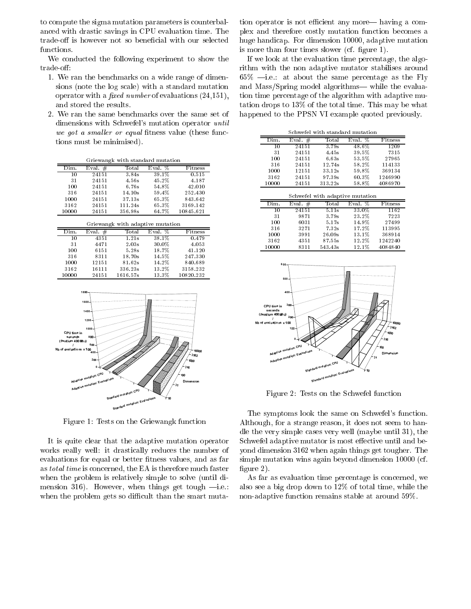to compute the sigma mutation parameters is counterbalanced with drastic savings in CPU evaluation time. The trade-off is however not so beneficial with our selected functions.

We conducted the following experiment to show the trade-off.

- 1. We ran the benchmarks on a wide range of dimensions (note the log scale) with a standard mutation operator with a *fixed number* of evaluations  $(24,151)$ , and stored the results.
- 2. We ran the same benchmarks over the same set of dimensions with Schwefel's mutation operator *until* we got a smaller or equal fitness value (these functions must be minimised).

|                   |            |                | Griewangk with standard mutation |           |
|-------------------|------------|----------------|----------------------------------|-----------|
| $\bar{\rm Dim}$ . | #<br>Eval. | $_{\rm Total}$ | Eval. $%$                        | Fitness   |
| 10                | 24151      | 3.84s          | $39.1\%$                         | 0.515     |
| 31                | 24151      | 4.56s          | 45.2%                            | 4.187     |
| 100               | 24151      | 6.76s          | 54.8%                            | 42.010    |
| 316               | 24151      | 14.10s         | 59.4%                            | 252.430   |
| 1000              | 24151      | 37.13s         | 65.3%                            | 843.642   |
| 3162              | 24151      | 111.24s        | 65.3%                            | 3169.142  |
| 10000             | 24151      | 356.98s        | 64.7%                            | 10845.621 |

| Griewangk with adaptive mutation |            |         |           |           |  |  |
|----------------------------------|------------|---------|-----------|-----------|--|--|
| Dim.                             | #<br>Eval. | Tot al  | Eval. $%$ | Fitness   |  |  |
| 10                               | 4351       | 1.21s   | $38.1\%$  | 0.479     |  |  |
| 31                               | 4471       | 2.03s   | 30.0%     | 4.053     |  |  |
| 100                              | 6151       | 5.28s   | 18.7%     | 41.120    |  |  |
| 316                              | 8311       | 18.70s  | 14.5%     | 247.330   |  |  |
| 1000                             | 12151      | 81.62s  | 14.2%     | 840.689   |  |  |
| 3162                             | 16111      | 336.23s | 13.2%     | 3158.232  |  |  |
| 10000                            | 24151      | 161657s | 13.3%     | 10820-232 |  |  |



Figure 1: Tests on the Griewangk function

It is quite clear that the adaptive mutation operator works really well: it drastically reduces the number of evaluations for equal or better fitness values, and as far as *total time* is concerned, the EA is therefore much faster when the problem is relatively simple to solve (until dimension 316). However, when things get tough  $-i.e.$ when the problem gets so difficult than the smart muta-

tion operator is not efficient any more— having a complex and therefore costly mutation function becomes a huge handicap. For dimension 10000, adaptive mutation is more than four times slower (cf. figure 1).

If we look at the evaluation time percentage, the algorithm with the non adaptive mutator stabilises around  $65\%$  -i.e.: at about the same percentage as the Fly and Mass/Spring model algorithms— while the evaluation time percentage of the algorithm with adaptive mutation drops to  $13\%$  of the total time. This may be what happened to the PPSN VI example quoted previously.

| Schwefel with standard mutation |           |                                                           |           |         |  |  |  |
|---------------------------------|-----------|-----------------------------------------------------------|-----------|---------|--|--|--|
| Dim.                            | Eval. $#$ | $\operatorname{\mathsf{Tot}}\nolimits{\operatorname{al}}$ | Eval. $%$ | Fitness |  |  |  |
| 10                              | 24151     | 3.79s                                                     | 48.6%     | 1209    |  |  |  |
| 31                              | 24151     | 4.45s                                                     | 39.5%     | 7315    |  |  |  |
| 100                             | 24151     | 6.63s                                                     | 53.5%     | 27965   |  |  |  |
| 316                             | 24151     | 12.74s                                                    | 58.2%     | 114133  |  |  |  |
| 1000                            | 12151     | 33.12s                                                    | 59.8%     | 369134  |  |  |  |
| 3162                            | 24151     | 97.39s                                                    | 60.3%     | 1246990 |  |  |  |
| 10000                           | 24151     | 313.22s                                                   | $58.8\%$  | 4086970 |  |  |  |
| Schwefel with adaptive mutation |           |                                                           |           |         |  |  |  |
|                                 |           |                                                           |           |         |  |  |  |
| Dim.                            | Eval. $#$ | $\operatorname{\mathsf{Total}}$                           | Eval. %   | Fitness |  |  |  |
| 10                              | 24151     | 5.11s                                                     | $33.0\%$  | 1162    |  |  |  |
| 31                              | 9871      | 3.79s                                                     | 23.2%     | 7223    |  |  |  |
| 100                             | 6031      | 5.17s                                                     | 14.9%     | 27499   |  |  |  |
| 316                             | 3271      | 7.32s                                                     | 17.2%     | 113995  |  |  |  |
| 1000                            | 3991      | 26.09s                                                    | 13.1%     | 368914  |  |  |  |
| 3162                            | 4351      | 87.55s                                                    | 12.2%     | 1242240 |  |  |  |



Figure 2: Tests on the Schwefel function

The symptoms look the same on Schwefel's function. Although, for a strange reason, it does not seem to handle the very simple cases very well (maybe until 31), the Schwefel adaptive mutator is most effective until and beyond dimension 3162 when again things get tougher. The simple mutation wins again beyond dimension 10000 (cf. figure  $2$ ).

As far as evaluation time percentage is concerned, we also see a big drop down to  $12\%$  of total time, while the non-adaptive function remains stable at around 59%.